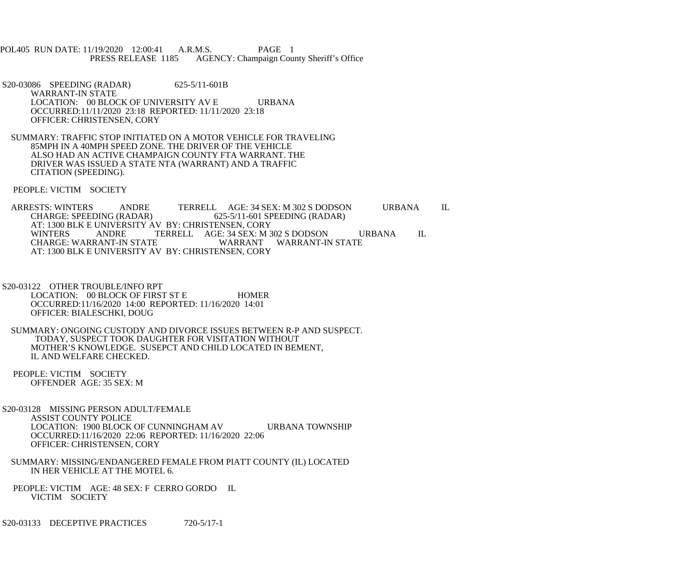POL405 RUN DATE: 11/19/2020 12:00:41 A.R.M.S. PAGE 1<br>PRESS RELEASE 1185 AGENCY: Champaign Cou AGENCY: Champaign County Sheriff's Office

 S20-03086 SPEEDING (RADAR) 625-5/11-601B WARRANT-IN STATE LOCATION: 00 BLOCK OF UNIVERSITY AV E URBANA OCCURRED:11/11/2020 23:18 REPORTED: 11/11/2020 23:18 OFFICER: CHRISTENSEN, CORY

 SUMMARY: TRAFFIC STOP INITIATED ON A MOTOR VEHICLE FOR TRAVELING 85MPH IN A 40MPH SPEED ZONE. THE DRIVER OF THE VEHICLE ALSO HAD AN ACTIVE CHAMPAIGN COUNTY FTA WARRANT. THE DRIVER WAS ISSUED A STATE NTA (WARRANT) AND A TRAFFIC CITATION (SPEEDING).

PEOPLE: VICTIM SOCIETY

ARRESTS: WINTERS ANDRE TERRELL AGE: 34 SEX: M 302 S DODSON URBANA IL<br>CHARGE: SPEEDING (RADAR) 625-5/11-601 SPEEDING (RADAR) 625-5/11-601 SPEEDING (RADAR) AT: 1300 BLK E UNIVERSITY AV BY: CHRISTENSEN, CORY<br>WINTERS ANDRE TERRELL AGE: 34 SEX: M 3 WINTERS ANDRE TERRELL AGE: 34 SEX: M 302 S DODSON URBANA IL<br>CHARGE: WARRANT-IN STATE WARRANT WARRANT-IN STATE WARRANT WARRANT-IN STATE AT: 1300 BLK E UNIVERSITY AV BY: CHRISTENSEN, CORY

- S20-03122 OTHER TROUBLE/INFO RPT LOCATION: 00 BLOCK OF FIRST ST E HOMER OCCURRED:11/16/2020 14:00 REPORTED: 11/16/2020 14:01 OFFICER: BIALESCHKI, DOUG
- SUMMARY: ONGOING CUSTODY AND DIVORCE ISSUES BETWEEN R-P AND SUSPECT. TODAY, SUSPECT TOOK DAUGHTER FOR VISITATION WITHOUT MOTHER'S KNOWLEDGE. SUSEPCT AND CHILD LOCATED IN BEMENT, IL AND WELFARE CHECKED.
- PEOPLE: VICTIM SOCIETY OFFENDER AGE: 35 SEX: M
- S20-03128 MISSING PERSON ADULT/FEMALE ASSIST COUNTY POLICE LOCATION: 1900 BLOCK OF CUNNINGHAM AV URBANA TOWNSHIP OCCURRED:11/16/2020 22:06 REPORTED: 11/16/2020 22:06 OFFICER: CHRISTENSEN, CORY
- SUMMARY: MISSING/ENDANGERED FEMALE FROM PIATT COUNTY (IL) LOCATED IN HER VEHICLE AT THE MOTEL 6.
- PEOPLE: VICTIM AGE: 48 SEX: F CERRO GORDO IL VICTIM SOCIETY

S20-03133 DECEPTIVE PRACTICES 720-5/17-1